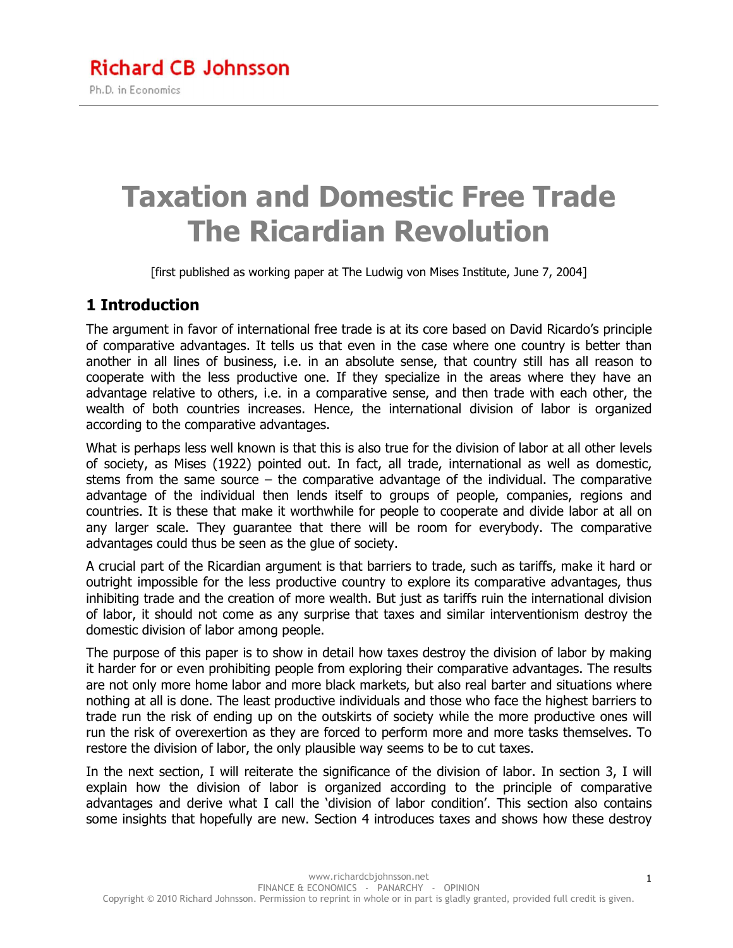# **Taxation and Domestic Free Trade The Ricardian Revolution**

[first published as working paper at The Ludwig von Mises Institute, June 7, 2004]

#### **1 Introduction**

The argument in favor of international free trade is at its core based on David Ricardo's principle of comparative advantages. It tells us that even in the case where one country is better than another in all lines of business, i.e. in an absolute sense, that country still has all reason to cooperate with the less productive one. If they specialize in the areas where they have an advantage relative to others, i.e. in a comparative sense, and then trade with each other, the wealth of both countries increases. Hence, the international division of labor is organized according to the comparative advantages.

What is perhaps less well known is that this is also true for the division of labor at all other levels of society, as Mises (1922) pointed out. In fact, all trade, international as well as domestic, stems from the same source  $-$  the comparative advantage of the individual. The comparative advantage of the individual then lends itself to groups of people, companies, regions and countries. It is these that make it worthwhile for people to cooperate and divide labor at all on any larger scale. They guarantee that there will be room for everybody. The comparative advantages could thus be seen as the glue of society.

A crucial part of the Ricardian argument is that barriers to trade, such as tariffs, make it hard or outright impossible for the less productive country to explore its comparative advantages, thus inhibiting trade and the creation of more wealth. But just as tariffs ruin the international division of labor, it should not come as any surprise that taxes and similar interventionism destroy the domestic division of labor among people.

The purpose of this paper is to show in detail how taxes destroy the division of labor by making it harder for or even prohibiting people from exploring their comparative advantages. The results are not only more home labor and more black markets, but also real barter and situations where nothing at all is done. The least productive individuals and those who face the highest barriers to trade run the risk of ending up on the outskirts of society while the more productive ones will run the risk of overexertion as they are forced to perform more and more tasks themselves. To restore the division of labor, the only plausible way seems to be to cut taxes.

In the next section, I will reiterate the significance of the division of labor. In section 3, I will explain how the division of labor is organized according to the principle of comparative advantages and derive what I call the 'division of labor condition'. This section also contains some insights that hopefully are new. Section 4 introduces taxes and shows how these destroy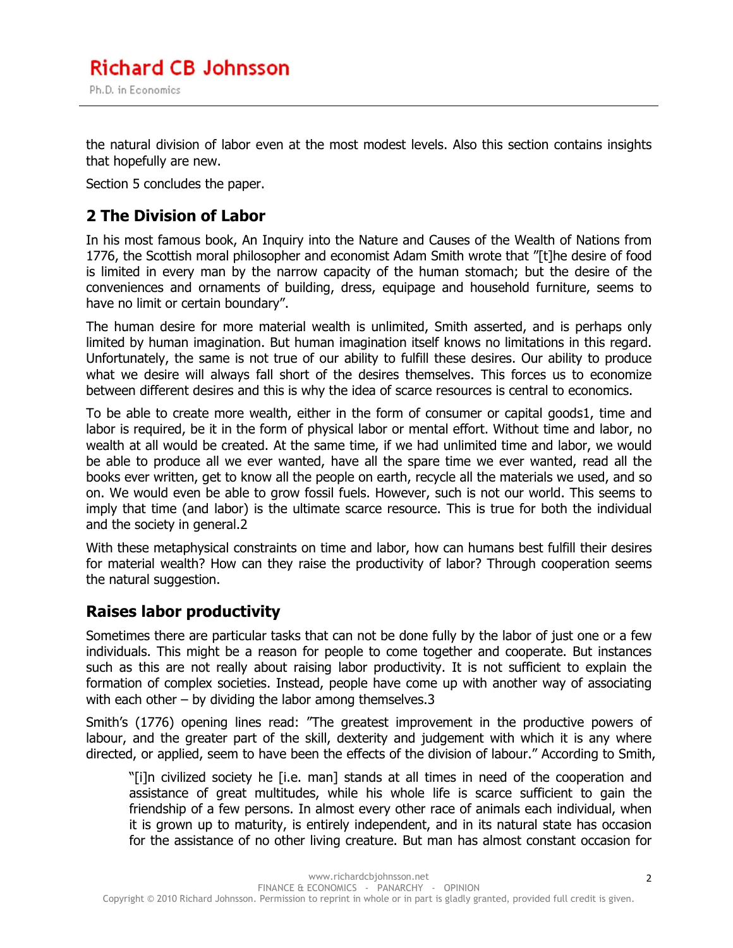the natural division of labor even at the most modest levels. Also this section contains insights that hopefully are new.

Section 5 concludes the paper.

#### **2 The Division of Labor**

In his most famous book, An Inquiry into the Nature and Causes of the Wealth of Nations from 1776, the Scottish moral philosopher and economist Adam Smith wrote that "[t]he desire of food is limited in every man by the narrow capacity of the human stomach; but the desire of the conveniences and ornaments of building, dress, equipage and household furniture, seems to have no limit or certain boundary".

The human desire for more material wealth is unlimited, Smith asserted, and is perhaps only limited by human imagination. But human imagination itself knows no limitations in this regard. Unfortunately, the same is not true of our ability to fulfill these desires. Our ability to produce what we desire will always fall short of the desires themselves. This forces us to economize between different desires and this is why the idea of scarce resources is central to economics.

To be able to create more wealth, either in the form of consumer or capital goods1, time and labor is required, be it in the form of physical labor or mental effort. Without time and labor, no wealth at all would be created. At the same time, if we had unlimited time and labor, we would be able to produce all we ever wanted, have all the spare time we ever wanted, read all the books ever written, get to know all the people on earth, recycle all the materials we used, and so on. We would even be able to grow fossil fuels. However, such is not our world. This seems to imply that time (and labor) is the ultimate scarce resource. This is true for both the individual and the society in general.2

With these metaphysical constraints on time and labor, how can humans best fulfill their desires for material wealth? How can they raise the productivity of labor? Through cooperation seems the natural suggestion.

#### **Raises labor productivity**

Sometimes there are particular tasks that can not be done fully by the labor of just one or a few individuals. This might be a reason for people to come together and cooperate. But instances such as this are not really about raising labor productivity. It is not sufficient to explain the formation of complex societies. Instead, people have come up with another way of associating with each other – by dividing the labor among themselves.3

Smith's (1776) opening lines read: "The greatest improvement in the productive powers of labour, and the greater part of the skill, dexterity and judgement with which it is any where directed, or applied, seem to have been the effects of the division of labour." According to Smith,

"[i]n civilized society he [i.e. man] stands at all times in need of the cooperation and assistance of great multitudes, while his whole life is scarce sufficient to gain the friendship of a few persons. In almost every other race of animals each individual, when it is grown up to maturity, is entirely independent, and in its natural state has occasion for the assistance of no other living creature. But man has almost constant occasion for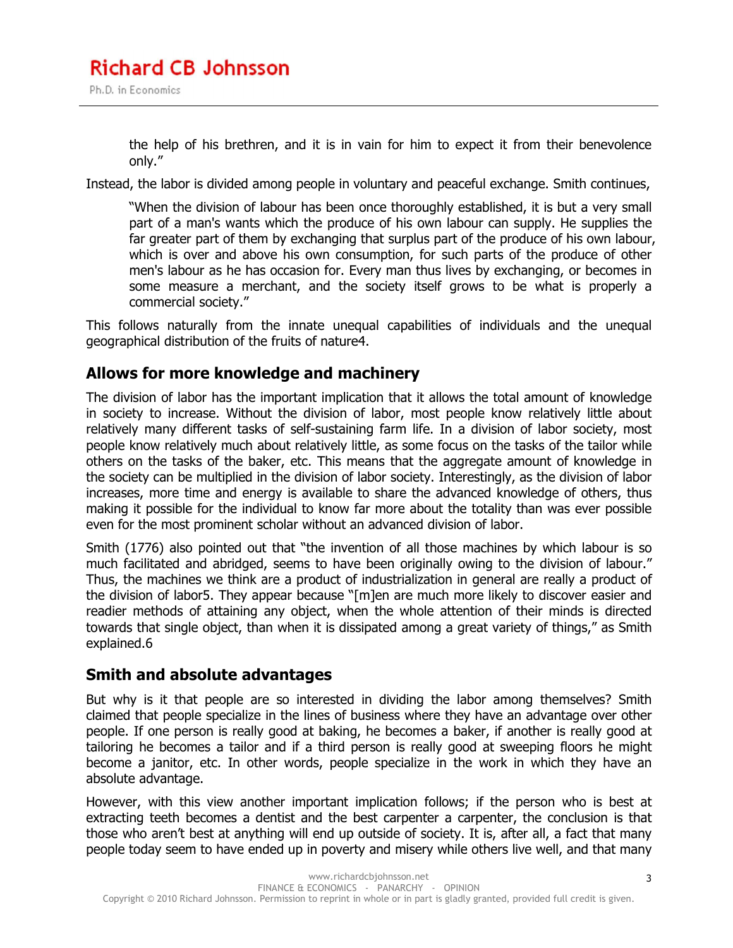the help of his brethren, and it is in vain for him to expect it from their benevolence only."

Instead, the labor is divided among people in voluntary and peaceful exchange. Smith continues,

"When the division of labour has been once thoroughly established, it is but a very small part of a man's wants which the produce of his own labour can supply. He supplies the far greater part of them by exchanging that surplus part of the produce of his own labour, which is over and above his own consumption, for such parts of the produce of other men's labour as he has occasion for. Every man thus lives by exchanging, or becomes in some measure a merchant, and the society itself grows to be what is properly a commercial society."

This follows naturally from the innate unequal capabilities of individuals and the unequal geographical distribution of the fruits of nature4.

#### **Allows for more knowledge and machinery**

The division of labor has the important implication that it allows the total amount of knowledge in society to increase. Without the division of labor, most people know relatively little about relatively many different tasks of self-sustaining farm life. In a division of labor society, most people know relatively much about relatively little, as some focus on the tasks of the tailor while others on the tasks of the baker, etc. This means that the aggregate amount of knowledge in the society can be multiplied in the division of labor society. Interestingly, as the division of labor increases, more time and energy is available to share the advanced knowledge of others, thus making it possible for the individual to know far more about the totality than was ever possible even for the most prominent scholar without an advanced division of labor.

Smith (1776) also pointed out that "the invention of all those machines by which labour is so much facilitated and abridged, seems to have been originally owing to the division of labour." Thus, the machines we think are a product of industrialization in general are really a product of the division of labor5. They appear because "[m]en are much more likely to discover easier and readier methods of attaining any object, when the whole attention of their minds is directed towards that single object, than when it is dissipated among a great variety of things," as Smith explained.6

#### **Smith and absolute advantages**

But why is it that people are so interested in dividing the labor among themselves? Smith claimed that people specialize in the lines of business where they have an advantage over other people. If one person is really good at baking, he becomes a baker, if another is really good at tailoring he becomes a tailor and if a third person is really good at sweeping floors he might become a janitor, etc. In other words, people specialize in the work in which they have an absolute advantage.

However, with this view another important implication follows; if the person who is best at extracting teeth becomes a dentist and the best carpenter a carpenter, the conclusion is that those who aren't best at anything will end up outside of society. It is, after all, a fact that many people today seem to have ended up in poverty and misery while others live well, and that many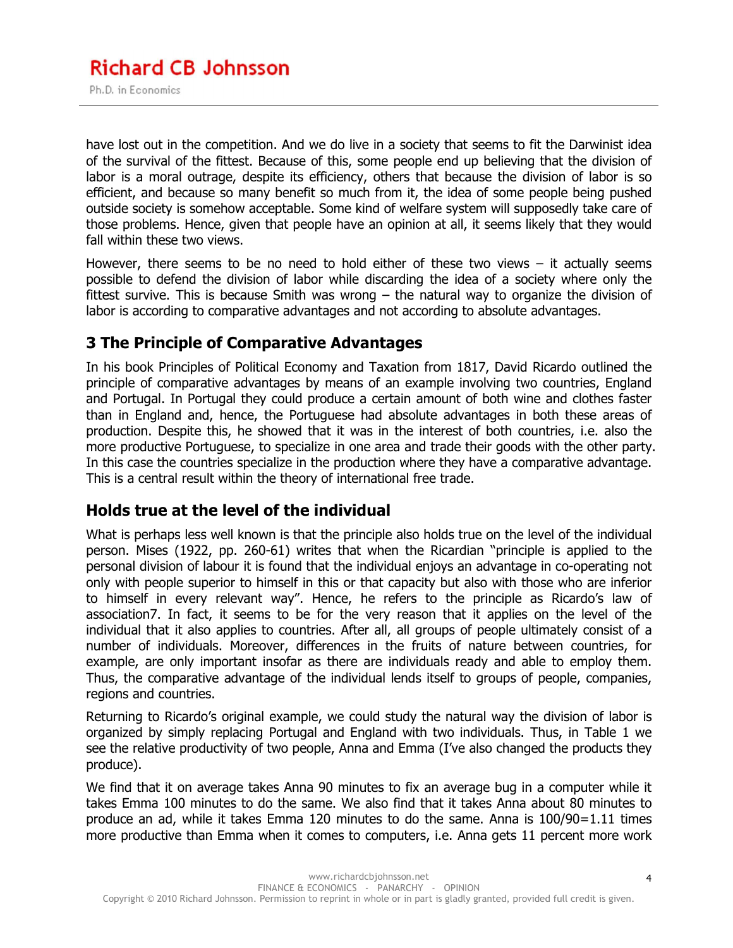have lost out in the competition. And we do live in a society that seems to fit the Darwinist idea of the survival of the fittest. Because of this, some people end up believing that the division of labor is a moral outrage, despite its efficiency, others that because the division of labor is so efficient, and because so many benefit so much from it, the idea of some people being pushed outside society is somehow acceptable. Some kind of welfare system will supposedly take care of those problems. Hence, given that people have an opinion at all, it seems likely that they would fall within these two views.

However, there seems to be no need to hold either of these two views  $-$  it actually seems possible to defend the division of labor while discarding the idea of a society where only the fittest survive. This is because Smith was wrong – the natural way to organize the division of labor is according to comparative advantages and not according to absolute advantages.

#### **3 The Principle of Comparative Advantages**

In his book Principles of Political Economy and Taxation from 1817, David Ricardo outlined the principle of comparative advantages by means of an example involving two countries, England and Portugal. In Portugal they could produce a certain amount of both wine and clothes faster than in England and, hence, the Portuguese had absolute advantages in both these areas of production. Despite this, he showed that it was in the interest of both countries, i.e. also the more productive Portuguese, to specialize in one area and trade their goods with the other party. In this case the countries specialize in the production where they have a comparative advantage. This is a central result within the theory of international free trade.

#### **Holds true at the level of the individual**

What is perhaps less well known is that the principle also holds true on the level of the individual person. Mises (1922, pp. 260-61) writes that when the Ricardian "principle is applied to the personal division of labour it is found that the individual enjoys an advantage in co-operating not only with people superior to himself in this or that capacity but also with those who are inferior to himself in every relevant way". Hence, he refers to the principle as Ricardo's law of association7. In fact, it seems to be for the very reason that it applies on the level of the individual that it also applies to countries. After all, all groups of people ultimately consist of a number of individuals. Moreover, differences in the fruits of nature between countries, for example, are only important insofar as there are individuals ready and able to employ them. Thus, the comparative advantage of the individual lends itself to groups of people, companies, regions and countries.

Returning to Ricardo's original example, we could study the natural way the division of labor is organized by simply replacing Portugal and England with two individuals. Thus, in Table 1 we see the relative productivity of two people, Anna and Emma (I've also changed the products they produce).

We find that it on average takes Anna 90 minutes to fix an average bug in a computer while it takes Emma 100 minutes to do the same. We also find that it takes Anna about 80 minutes to produce an ad, while it takes Emma 120 minutes to do the same. Anna is 100/90=1.11 times more productive than Emma when it comes to computers, i.e. Anna gets 11 percent more work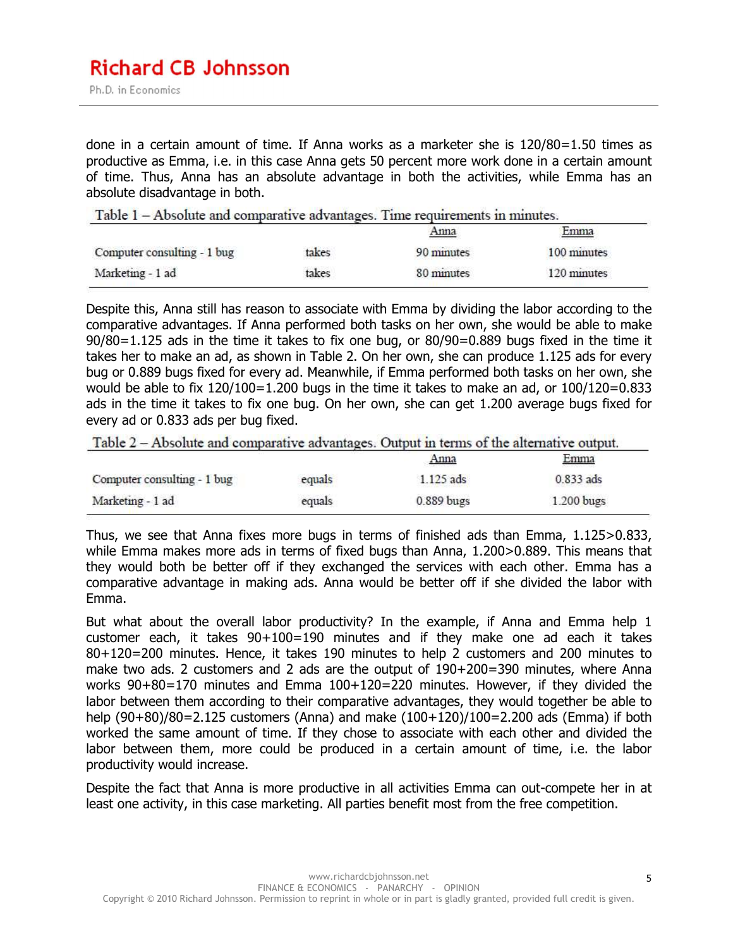done in a certain amount of time. If Anna works as a marketer she is 120/80=1.50 times as productive as Emma, i.e. in this case Anna gets 50 percent more work done in a certain amount of time. Thus, Anna has an absolute advantage in both the activities, while Emma has an absolute disadvantage in both.

Table 1 – Absolute and comparative advantages. Time requirements in minutes.

|                             |                                | Anna       | <u>Emma</u> |
|-----------------------------|--------------------------------|------------|-------------|
| Computer consulting - 1 bug | takes<br>THE MELTING OF STREET | 90 minutes | 100 minutes |
| Marketing - 1 ad            | takes                          | 80 minutes | 120 minutes |

Despite this, Anna still has reason to associate with Emma by dividing the labor according to the comparative advantages. If Anna performed both tasks on her own, she would be able to make 90/80=1.125 ads in the time it takes to fix one bug, or 80/90=0.889 bugs fixed in the time it takes her to make an ad, as shown in Table 2. On her own, she can produce 1.125 ads for every bug or 0.889 bugs fixed for every ad. Meanwhile, if Emma performed both tasks on her own, she would be able to fix 120/100=1.200 bugs in the time it takes to make an ad, or 100/120=0.833 ads in the time it takes to fix one bug. On her own, she can get 1.200 average bugs fixed for every ad or 0.833 ads per bug fixed.

| Table $2 -$ Absolute and comparative advantages. Output in terms of the alternative output. |
|---------------------------------------------------------------------------------------------|
|---------------------------------------------------------------------------------------------|

|                             |        | Anna        | Emma<br><b>ASSAULTS AND</b> |
|-----------------------------|--------|-------------|-----------------------------|
| Computer consulting - 1 bug | equals | $1.125$ ads | $0.833$ ads                 |
| Marketing - 1 ad            | equals | 0.889 bugs  | 1.200 bugs                  |

Thus, we see that Anna fixes more bugs in terms of finished ads than Emma, 1.125>0.833, while Emma makes more ads in terms of fixed bugs than Anna, 1.200>0.889. This means that they would both be better off if they exchanged the services with each other. Emma has a comparative advantage in making ads. Anna would be better off if she divided the labor with Emma.

But what about the overall labor productivity? In the example, if Anna and Emma help 1 customer each, it takes 90+100=190 minutes and if they make one ad each it takes 80+120=200 minutes. Hence, it takes 190 minutes to help 2 customers and 200 minutes to make two ads. 2 customers and 2 ads are the output of 190+200=390 minutes, where Anna works 90+80=170 minutes and Emma 100+120=220 minutes. However, if they divided the labor between them according to their comparative advantages, they would together be able to help (90+80)/80=2.125 customers (Anna) and make (100+120)/100=2.200 ads (Emma) if both worked the same amount of time. If they chose to associate with each other and divided the labor between them, more could be produced in a certain amount of time, i.e. the labor productivity would increase.

Despite the fact that Anna is more productive in all activities Emma can out-compete her in at least one activity, in this case marketing. All parties benefit most from the free competition.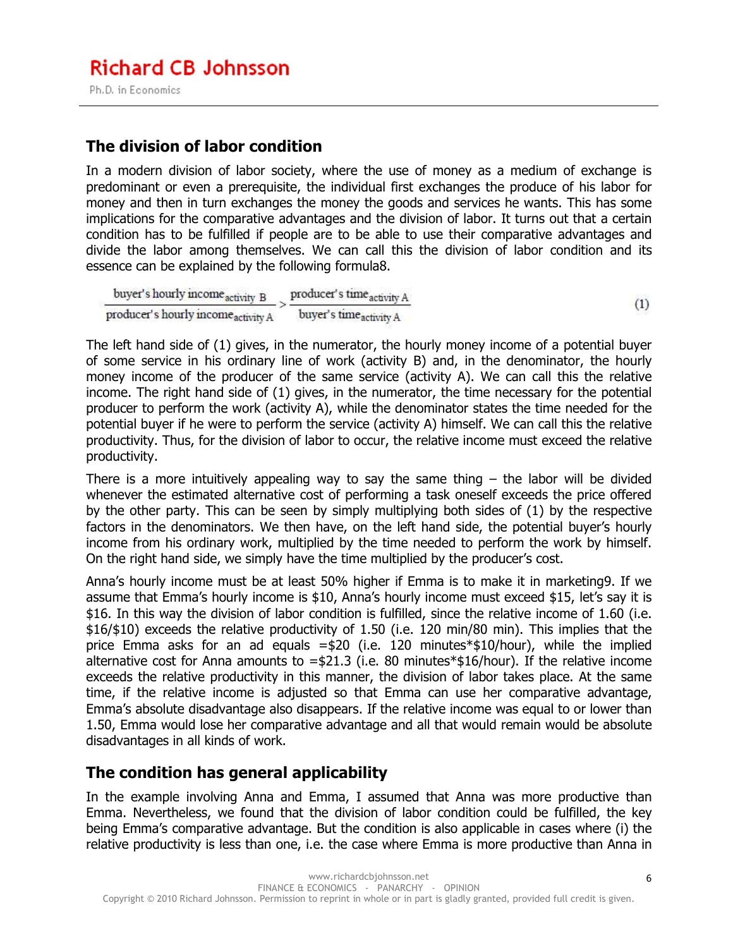#### **The division of labor condition**

In a modern division of labor society, where the use of money as a medium of exchange is predominant or even a prerequisite, the individual first exchanges the produce of his labor for money and then in turn exchanges the money the goods and services he wants. This has some implications for the comparative advantages and the division of labor. It turns out that a certain condition has to be fulfilled if people are to be able to use their comparative advantages and divide the labor among themselves. We can call this the division of labor condition and its essence can be explained by the following formula8.

buyer's hourly income activity B producer's time activity A  $(1)$ producer's hourly income activity A buyer's timeactivity A

The left hand side of (1) gives, in the numerator, the hourly money income of a potential buyer of some service in his ordinary line of work (activity B) and, in the denominator, the hourly money income of the producer of the same service (activity A). We can call this the relative income. The right hand side of (1) gives, in the numerator, the time necessary for the potential producer to perform the work (activity A), while the denominator states the time needed for the potential buyer if he were to perform the service (activity A) himself. We can call this the relative productivity. Thus, for the division of labor to occur, the relative income must exceed the relative productivity.

There is a more intuitively appealing way to say the same thing  $-$  the labor will be divided whenever the estimated alternative cost of performing a task oneself exceeds the price offered by the other party. This can be seen by simply multiplying both sides of (1) by the respective factors in the denominators. We then have, on the left hand side, the potential buyer's hourly income from his ordinary work, multiplied by the time needed to perform the work by himself. On the right hand side, we simply have the time multiplied by the producer's cost.

Anna's hourly income must be at least 50% higher if Emma is to make it in marketing9. If we assume that Emma's hourly income is \$10, Anna's hourly income must exceed \$15, let's say it is \$16. In this way the division of labor condition is fulfilled, since the relative income of 1.60 (i.e. \$16/\$10) exceeds the relative productivity of 1.50 (i.e. 120 min/80 min). This implies that the price Emma asks for an ad equals =\$20 (i.e. 120 minutes\*\$10/hour), while the implied alternative cost for Anna amounts to  $= $21.3$  (i.e. 80 minutes  $$16/hour$ ). If the relative income exceeds the relative productivity in this manner, the division of labor takes place. At the same time, if the relative income is adjusted so that Emma can use her comparative advantage, Emma's absolute disadvantage also disappears. If the relative income was equal to or lower than 1.50, Emma would lose her comparative advantage and all that would remain would be absolute disadvantages in all kinds of work.

#### **The condition has general applicability**

In the example involving Anna and Emma, I assumed that Anna was more productive than Emma. Nevertheless, we found that the division of labor condition could be fulfilled, the key being Emma's comparative advantage. But the condition is also applicable in cases where (i) the relative productivity is less than one, i.e. the case where Emma is more productive than Anna in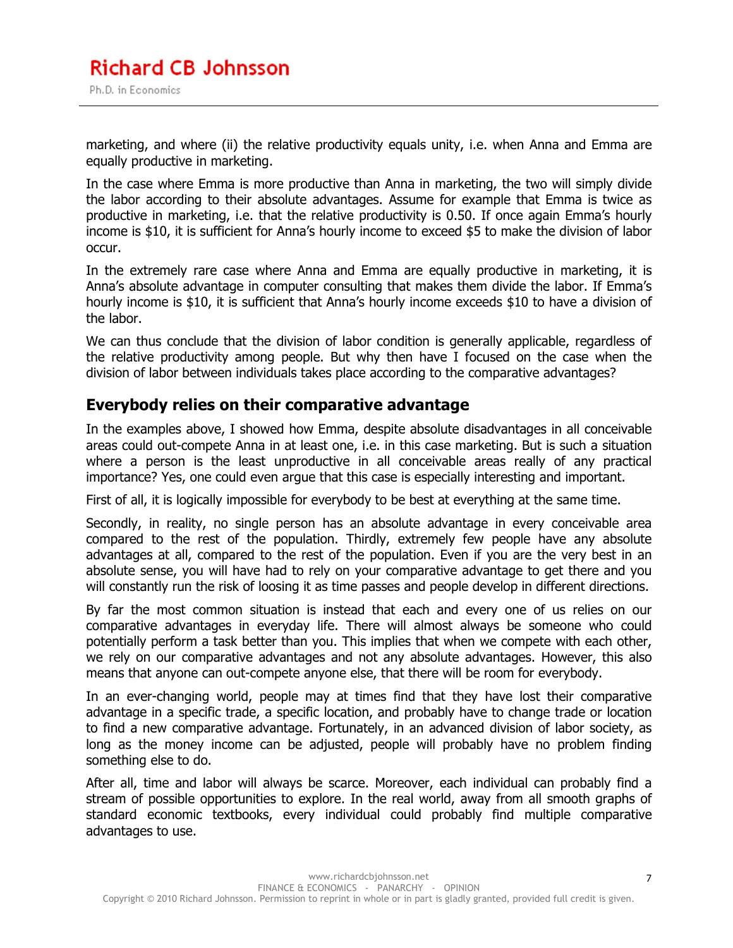marketing, and where (ii) the relative productivity equals unity, i.e. when Anna and Emma are equally productive in marketing.

In the case where Emma is more productive than Anna in marketing, the two will simply divide the labor according to their absolute advantages. Assume for example that Emma is twice as productive in marketing, i.e. that the relative productivity is 0.50. If once again Emma's hourly income is \$10, it is sufficient for Anna's hourly income to exceed \$5 to make the division of labor occur.

In the extremely rare case where Anna and Emma are equally productive in marketing, it is Anna's absolute advantage in computer consulting that makes them divide the labor. If Emma's hourly income is \$10, it is sufficient that Anna's hourly income exceeds \$10 to have a division of the labor.

We can thus conclude that the division of labor condition is generally applicable, regardless of the relative productivity among people. But why then have I focused on the case when the division of labor between individuals takes place according to the comparative advantages?

#### **Everybody relies on their comparative advantage**

In the examples above, I showed how Emma, despite absolute disadvantages in all conceivable areas could out-compete Anna in at least one, i.e. in this case marketing. But is such a situation where a person is the least unproductive in all conceivable areas really of any practical importance? Yes, one could even argue that this case is especially interesting and important.

First of all, it is logically impossible for everybody to be best at everything at the same time.

Secondly, in reality, no single person has an absolute advantage in every conceivable area compared to the rest of the population. Thirdly, extremely few people have any absolute advantages at all, compared to the rest of the population. Even if you are the very best in an absolute sense, you will have had to rely on your comparative advantage to get there and you will constantly run the risk of loosing it as time passes and people develop in different directions.

By far the most common situation is instead that each and every one of us relies on our comparative advantages in everyday life. There will almost always be someone who could potentially perform a task better than you. This implies that when we compete with each other, we rely on our comparative advantages and not any absolute advantages. However, this also means that anyone can out-compete anyone else, that there will be room for everybody.

In an ever-changing world, people may at times find that they have lost their comparative advantage in a specific trade, a specific location, and probably have to change trade or location to find a new comparative advantage. Fortunately, in an advanced division of labor society, as long as the money income can be adjusted, people will probably have no problem finding something else to do.

After all, time and labor will always be scarce. Moreover, each individual can probably find a stream of possible opportunities to explore. In the real world, away from all smooth graphs of standard economic textbooks, every individual could probably find multiple comparative advantages to use.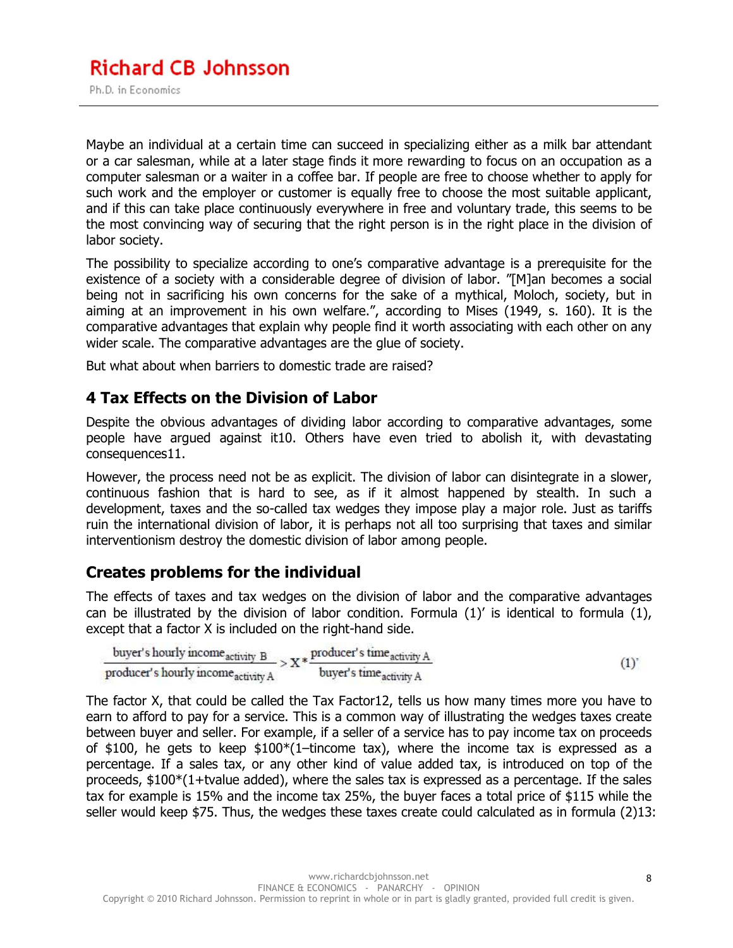Maybe an individual at a certain time can succeed in specializing either as a milk bar attendant or a car salesman, while at a later stage finds it more rewarding to focus on an occupation as a computer salesman or a waiter in a coffee bar. If people are free to choose whether to apply for such work and the employer or customer is equally free to choose the most suitable applicant, and if this can take place continuously everywhere in free and voluntary trade, this seems to be the most convincing way of securing that the right person is in the right place in the division of labor society.

The possibility to specialize according to one's comparative advantage is a prerequisite for the existence of a society with a considerable degree of division of labor. "[M]an becomes a social being not in sacrificing his own concerns for the sake of a mythical, Moloch, society, but in aiming at an improvement in his own welfare.", according to Mises (1949, s. 160). It is the comparative advantages that explain why people find it worth associating with each other on any wider scale. The comparative advantages are the glue of society.

But what about when barriers to domestic trade are raised?

#### **4 Tax Effects on the Division of Labor**

Despite the obvious advantages of dividing labor according to comparative advantages, some people have argued against it10. Others have even tried to abolish it, with devastating consequences11.

However, the process need not be as explicit. The division of labor can disintegrate in a slower, continuous fashion that is hard to see, as if it almost happened by stealth. In such a development, taxes and the so-called tax wedges they impose play a major role. Just as tariffs ruin the international division of labor, it is perhaps not all too surprising that taxes and similar interventionism destroy the domestic division of labor among people.

#### **Creates problems for the individual**

The effects of taxes and tax wedges on the division of labor and the comparative advantages can be illustrated by the division of labor condition. Formula (1)' is identical to formula (1), except that a factor X is included on the right-hand side.

\n buyer's hourly income\n 
$$
\text{activity } B
$$
\n \[\n = \frac{1}{2} \times \text{product's time\}\_\text{activity } A\n \]\n \[\n = \frac{1}{2} \times \text{product's time\}\_\text{activity } A\n \]\n

The factor X, that could be called the Tax Factor12, tells us how many times more you have to earn to afford to pay for a service. This is a common way of illustrating the wedges taxes create between buyer and seller. For example, if a seller of a service has to pay income tax on proceeds of \$100, he gets to keep  $$100*(1–tincome tax)$ , where the income tax is expressed as a percentage. If a sales tax, or any other kind of value added tax, is introduced on top of the proceeds, \$100\*(1+tvalue added), where the sales tax is expressed as a percentage. If the sales tax for example is 15% and the income tax 25%, the buyer faces a total price of \$115 while the seller would keep \$75. Thus, the wedges these taxes create could calculated as in formula (2)13: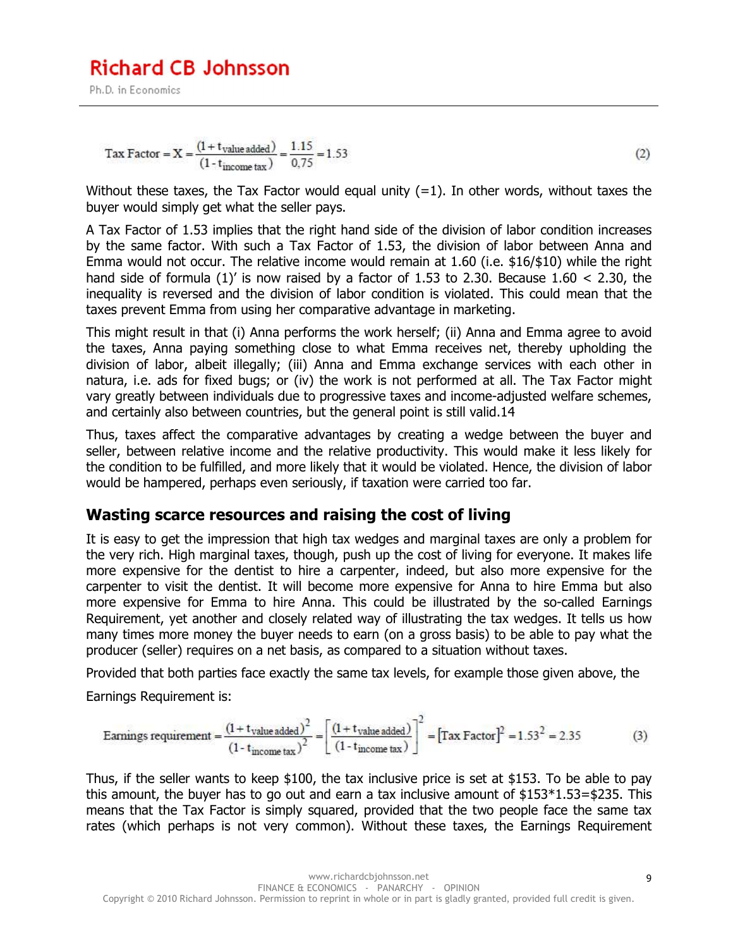Ph.D. in Economics

$$
Tax Factor = X = \frac{(1 + t_{value added})}{(1 - t_{income tax})} = \frac{1.15}{0.75} = 1.53
$$
 (2)

Without these taxes, the Tax Factor would equal unity  $(=1)$ . In other words, without taxes the buyer would simply get what the seller pays.

A Tax Factor of 1.53 implies that the right hand side of the division of labor condition increases by the same factor. With such a Tax Factor of 1.53, the division of labor between Anna and Emma would not occur. The relative income would remain at 1.60 (i.e. \$16/\$10) while the right hand side of formula  $(1)'$  is now raised by a factor of 1.53 to 2.30. Because 1.60 < 2.30, the inequality is reversed and the division of labor condition is violated. This could mean that the taxes prevent Emma from using her comparative advantage in marketing.

This might result in that (i) Anna performs the work herself; (ii) Anna and Emma agree to avoid the taxes, Anna paying something close to what Emma receives net, thereby upholding the division of labor, albeit illegally; (iii) Anna and Emma exchange services with each other in natura, i.e. ads for fixed bugs; or (iv) the work is not performed at all. The Tax Factor might vary greatly between individuals due to progressive taxes and income-adjusted welfare schemes, and certainly also between countries, but the general point is still valid.14

Thus, taxes affect the comparative advantages by creating a wedge between the buyer and seller, between relative income and the relative productivity. This would make it less likely for the condition to be fulfilled, and more likely that it would be violated. Hence, the division of labor would be hampered, perhaps even seriously, if taxation were carried too far.

#### **Wasting scarce resources and raising the cost of living**

It is easy to get the impression that high tax wedges and marginal taxes are only a problem for the very rich. High marginal taxes, though, push up the cost of living for everyone. It makes life more expensive for the dentist to hire a carpenter, indeed, but also more expensive for the carpenter to visit the dentist. It will become more expensive for Anna to hire Emma but also more expensive for Emma to hire Anna. This could be illustrated by the so-called Earnings Requirement, yet another and closely related way of illustrating the tax wedges. It tells us how many times more money the buyer needs to earn (on a gross basis) to be able to pay what the producer (seller) requires on a net basis, as compared to a situation without taxes.

Provided that both parties face exactly the same tax levels, for example those given above, the

Earnings Requirement is:

$$
\text{Earnings requirement} = \frac{(1 + \text{tvalue added})^2}{(1 - \text{t}_{\text{income tax}})^2} = \left[ \frac{(1 + \text{tvalue added})}{(1 - \text{t}_{\text{income tax}})} \right]^2 = \left[ \text{Tax Factor} \right]^2 = 1.53^2 = 2.35 \tag{3}
$$

Thus, if the seller wants to keep \$100, the tax inclusive price is set at \$153. To be able to pay this amount, the buyer has to go out and earn a tax inclusive amount of  $$153*1.53=$235$ . This means that the Tax Factor is simply squared, provided that the two people face the same tax rates (which perhaps is not very common). Without these taxes, the Earnings Requirement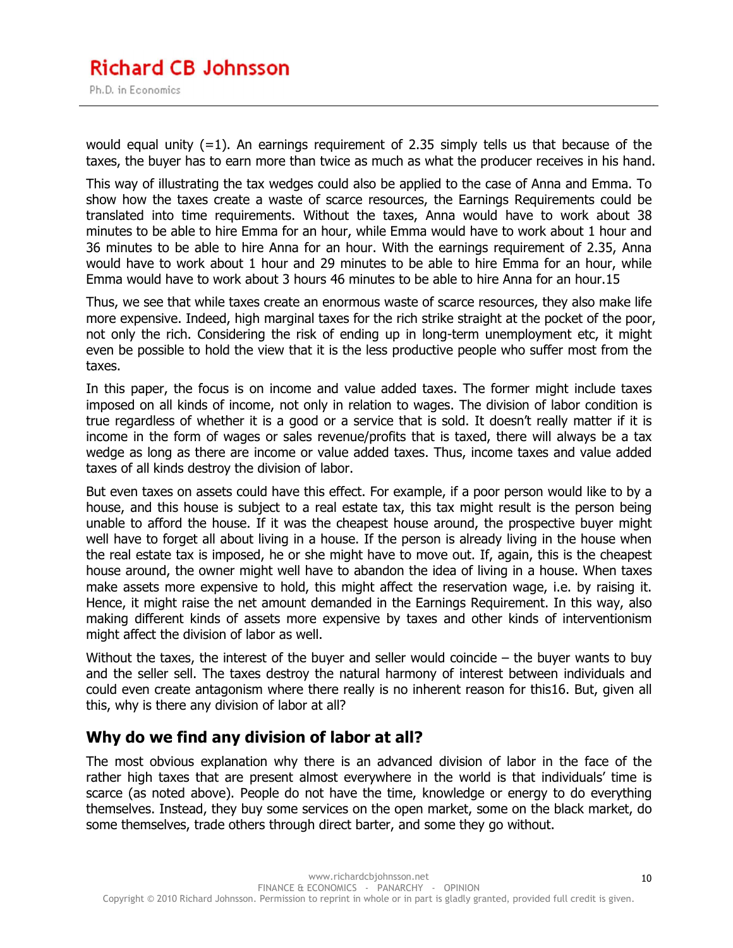would equal unity  $(=1)$ . An earnings requirement of 2.35 simply tells us that because of the taxes, the buyer has to earn more than twice as much as what the producer receives in his hand.

This way of illustrating the tax wedges could also be applied to the case of Anna and Emma. To show how the taxes create a waste of scarce resources, the Earnings Requirements could be translated into time requirements. Without the taxes, Anna would have to work about 38 minutes to be able to hire Emma for an hour, while Emma would have to work about 1 hour and 36 minutes to be able to hire Anna for an hour. With the earnings requirement of 2.35, Anna would have to work about 1 hour and 29 minutes to be able to hire Emma for an hour, while Emma would have to work about 3 hours 46 minutes to be able to hire Anna for an hour.15

Thus, we see that while taxes create an enormous waste of scarce resources, they also make life more expensive. Indeed, high marginal taxes for the rich strike straight at the pocket of the poor, not only the rich. Considering the risk of ending up in long-term unemployment etc, it might even be possible to hold the view that it is the less productive people who suffer most from the taxes.

In this paper, the focus is on income and value added taxes. The former might include taxes imposed on all kinds of income, not only in relation to wages. The division of labor condition is true regardless of whether it is a good or a service that is sold. It doesn't really matter if it is income in the form of wages or sales revenue/profits that is taxed, there will always be a tax wedge as long as there are income or value added taxes. Thus, income taxes and value added taxes of all kinds destroy the division of labor.

But even taxes on assets could have this effect. For example, if a poor person would like to by a house, and this house is subject to a real estate tax, this tax might result is the person being unable to afford the house. If it was the cheapest house around, the prospective buyer might well have to forget all about living in a house. If the person is already living in the house when the real estate tax is imposed, he or she might have to move out. If, again, this is the cheapest house around, the owner might well have to abandon the idea of living in a house. When taxes make assets more expensive to hold, this might affect the reservation wage, i.e. by raising it. Hence, it might raise the net amount demanded in the Earnings Requirement. In this way, also making different kinds of assets more expensive by taxes and other kinds of interventionism might affect the division of labor as well.

Without the taxes, the interest of the buyer and seller would coincide  $-$  the buyer wants to buy and the seller sell. The taxes destroy the natural harmony of interest between individuals and could even create antagonism where there really is no inherent reason for this16. But, given all this, why is there any division of labor at all?

#### **Why do we find any division of labor at all?**

The most obvious explanation why there is an advanced division of labor in the face of the rather high taxes that are present almost everywhere in the world is that individuals' time is scarce (as noted above). People do not have the time, knowledge or energy to do everything themselves. Instead, they buy some services on the open market, some on the black market, do some themselves, trade others through direct barter, and some they go without.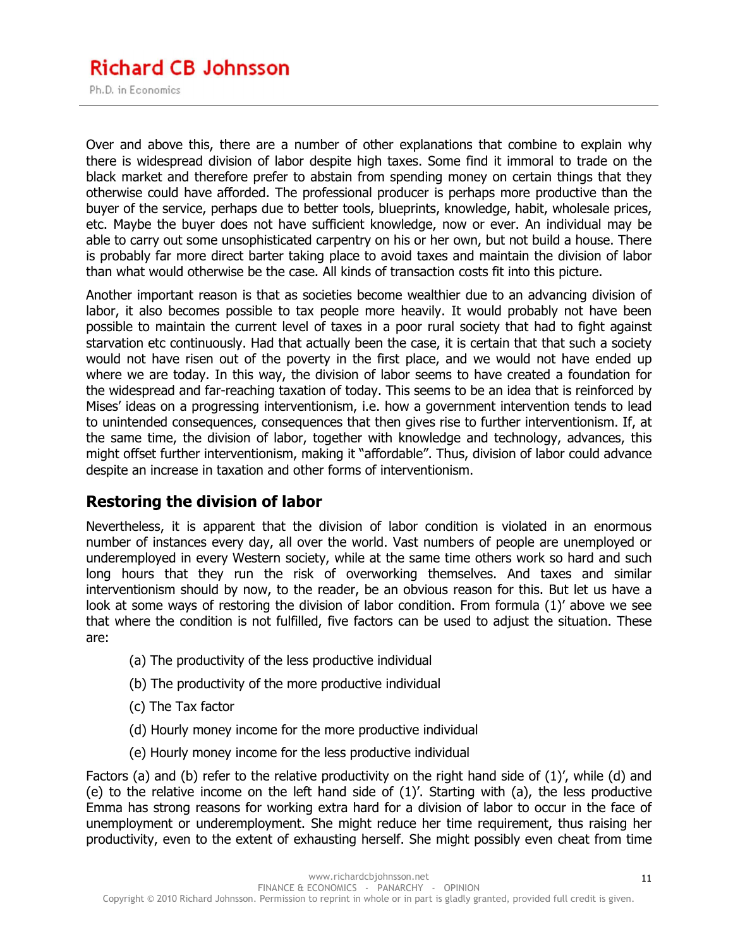# **Richard CB Johnsson**

Ph.D. in Economics

Over and above this, there are a number of other explanations that combine to explain why there is widespread division of labor despite high taxes. Some find it immoral to trade on the black market and therefore prefer to abstain from spending money on certain things that they otherwise could have afforded. The professional producer is perhaps more productive than the buyer of the service, perhaps due to better tools, blueprints, knowledge, habit, wholesale prices, etc. Maybe the buyer does not have sufficient knowledge, now or ever. An individual may be able to carry out some unsophisticated carpentry on his or her own, but not build a house. There is probably far more direct barter taking place to avoid taxes and maintain the division of labor than what would otherwise be the case. All kinds of transaction costs fit into this picture.

Another important reason is that as societies become wealthier due to an advancing division of labor, it also becomes possible to tax people more heavily. It would probably not have been possible to maintain the current level of taxes in a poor rural society that had to fight against starvation etc continuously. Had that actually been the case, it is certain that that such a society would not have risen out of the poverty in the first place, and we would not have ended up where we are today. In this way, the division of labor seems to have created a foundation for the widespread and far-reaching taxation of today. This seems to be an idea that is reinforced by Mises' ideas on a progressing interventionism, i.e. how a government intervention tends to lead to unintended consequences, consequences that then gives rise to further interventionism. If, at the same time, the division of labor, together with knowledge and technology, advances, this might offset further interventionism, making it "affordable". Thus, division of labor could advance despite an increase in taxation and other forms of interventionism.

#### **Restoring the division of labor**

Nevertheless, it is apparent that the division of labor condition is violated in an enormous number of instances every day, all over the world. Vast numbers of people are unemployed or underemployed in every Western society, while at the same time others work so hard and such long hours that they run the risk of overworking themselves. And taxes and similar interventionism should by now, to the reader, be an obvious reason for this. But let us have a look at some ways of restoring the division of labor condition. From formula (1)' above we see that where the condition is not fulfilled, five factors can be used to adjust the situation. These are:

- (a) The productivity of the less productive individual
- (b) The productivity of the more productive individual
- (c) The Tax factor
- (d) Hourly money income for the more productive individual
- (e) Hourly money income for the less productive individual

Factors (a) and (b) refer to the relative productivity on the right hand side of (1)', while (d) and (e) to the relative income on the left hand side of  $(1)'$ . Starting with  $(a)$ , the less productive Emma has strong reasons for working extra hard for a division of labor to occur in the face of unemployment or underemployment. She might reduce her time requirement, thus raising her productivity, even to the extent of exhausting herself. She might possibly even cheat from time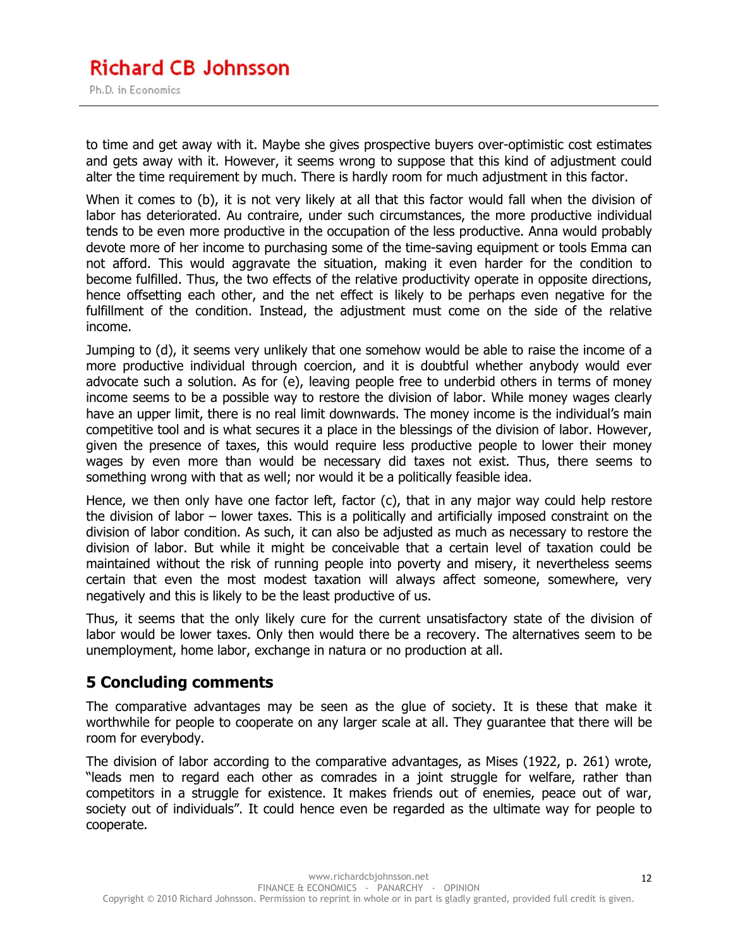#### **Richard CB Johnsson** Ph.D. in Economics

to time and get away with it. Maybe she gives prospective buyers over-optimistic cost estimates and gets away with it. However, it seems wrong to suppose that this kind of adjustment could alter the time requirement by much. There is hardly room for much adjustment in this factor.

When it comes to (b), it is not very likely at all that this factor would fall when the division of labor has deteriorated. Au contraire, under such circumstances, the more productive individual tends to be even more productive in the occupation of the less productive. Anna would probably devote more of her income to purchasing some of the time-saving equipment or tools Emma can not afford. This would aggravate the situation, making it even harder for the condition to become fulfilled. Thus, the two effects of the relative productivity operate in opposite directions, hence offsetting each other, and the net effect is likely to be perhaps even negative for the fulfillment of the condition. Instead, the adjustment must come on the side of the relative income.

Jumping to (d), it seems very unlikely that one somehow would be able to raise the income of a more productive individual through coercion, and it is doubtful whether anybody would ever advocate such a solution. As for (e), leaving people free to underbid others in terms of money income seems to be a possible way to restore the division of labor. While money wages clearly have an upper limit, there is no real limit downwards. The money income is the individual's main competitive tool and is what secures it a place in the blessings of the division of labor. However, given the presence of taxes, this would require less productive people to lower their money wages by even more than would be necessary did taxes not exist. Thus, there seems to something wrong with that as well; nor would it be a politically feasible idea.

Hence, we then only have one factor left, factor (c), that in any major way could help restore the division of labor – lower taxes. This is a politically and artificially imposed constraint on the division of labor condition. As such, it can also be adjusted as much as necessary to restore the division of labor. But while it might be conceivable that a certain level of taxation could be maintained without the risk of running people into poverty and misery, it nevertheless seems certain that even the most modest taxation will always affect someone, somewhere, very negatively and this is likely to be the least productive of us.

Thus, it seems that the only likely cure for the current unsatisfactory state of the division of labor would be lower taxes. Only then would there be a recovery. The alternatives seem to be unemployment, home labor, exchange in natura or no production at all.

#### **5 Concluding comments**

The comparative advantages may be seen as the glue of society. It is these that make it worthwhile for people to cooperate on any larger scale at all. They guarantee that there will be room for everybody.

The division of labor according to the comparative advantages, as Mises (1922, p. 261) wrote, "leads men to regard each other as comrades in a joint struggle for welfare, rather than competitors in a struggle for existence. It makes friends out of enemies, peace out of war, society out of individuals". It could hence even be regarded as the ultimate way for people to cooperate.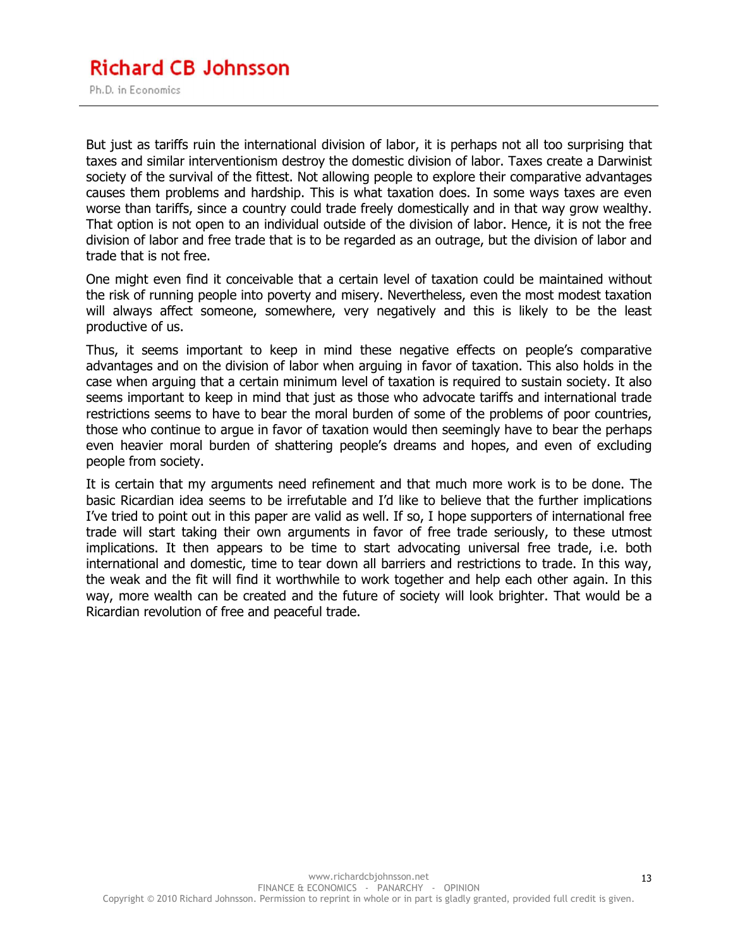But just as tariffs ruin the international division of labor, it is perhaps not all too surprising that taxes and similar interventionism destroy the domestic division of labor. Taxes create a Darwinist society of the survival of the fittest. Not allowing people to explore their comparative advantages causes them problems and hardship. This is what taxation does. In some ways taxes are even worse than tariffs, since a country could trade freely domestically and in that way grow wealthy. That option is not open to an individual outside of the division of labor. Hence, it is not the free division of labor and free trade that is to be regarded as an outrage, but the division of labor and trade that is not free.

One might even find it conceivable that a certain level of taxation could be maintained without the risk of running people into poverty and misery. Nevertheless, even the most modest taxation will always affect someone, somewhere, very negatively and this is likely to be the least productive of us.

Thus, it seems important to keep in mind these negative effects on people's comparative advantages and on the division of labor when arguing in favor of taxation. This also holds in the case when arguing that a certain minimum level of taxation is required to sustain society. It also seems important to keep in mind that just as those who advocate tariffs and international trade restrictions seems to have to bear the moral burden of some of the problems of poor countries, those who continue to argue in favor of taxation would then seemingly have to bear the perhaps even heavier moral burden of shattering people's dreams and hopes, and even of excluding people from society.

It is certain that my arguments need refinement and that much more work is to be done. The basic Ricardian idea seems to be irrefutable and I'd like to believe that the further implications I've tried to point out in this paper are valid as well. If so, I hope supporters of international free trade will start taking their own arguments in favor of free trade seriously, to these utmost implications. It then appears to be time to start advocating universal free trade, i.e. both international and domestic, time to tear down all barriers and restrictions to trade. In this way, the weak and the fit will find it worthwhile to work together and help each other again. In this way, more wealth can be created and the future of society will look brighter. That would be a Ricardian revolution of free and peaceful trade.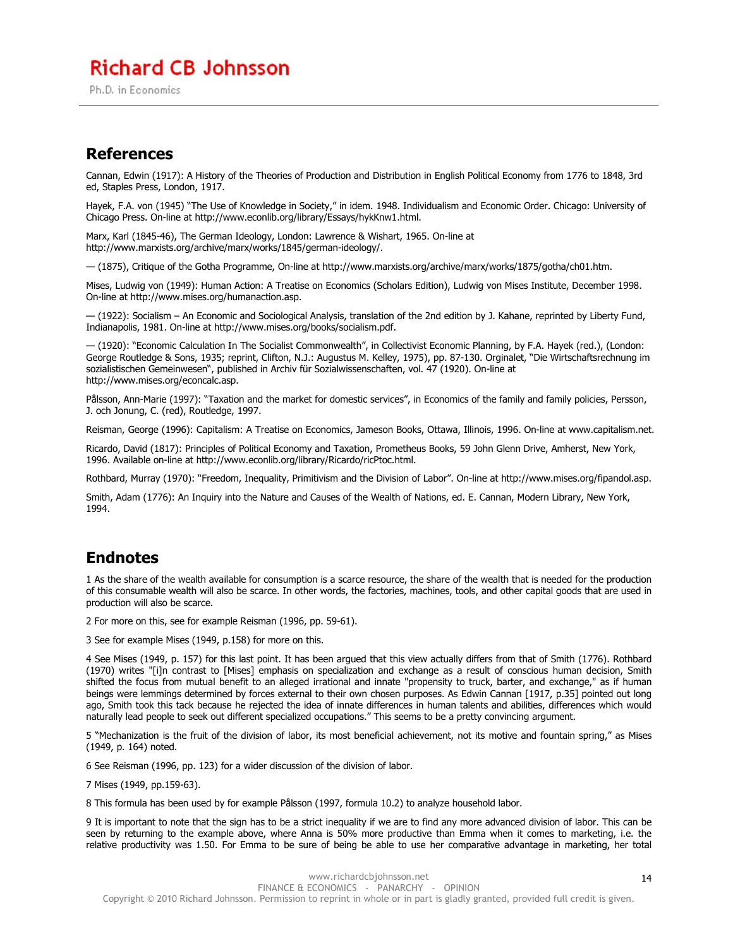### **Richard CB Johnsson**

Ph.D. in Economics

#### **References**

Cannan, Edwin (1917): A History of the Theories of Production and Distribution in English Political Economy from 1776 to 1848, 3rd ed, Staples Press, London, 1917.

Hayek, F.A. von (1945) "The Use of Knowledge in Society," in idem. 1948. Individualism and Economic Order. Chicago: University of Chicago Press. On-line at http://www.econlib.org/library/Essays/hykKnw1.html.

Marx, Karl (1845-46), The German Ideology, London: Lawrence & Wishart, 1965. On-line at http://www.marxists.org/archive/marx/works/1845/german-ideology/.

— (1875), Critique of the Gotha Programme, On-line at http://www.marxists.org/archive/marx/works/1875/gotha/ch01.htm.

Mises, Ludwig von (1949): Human Action: A Treatise on Economics (Scholars Edition), Ludwig von Mises Institute, December 1998. On-line at http://www.mises.org/humanaction.asp.

— (1922): Socialism – An Economic and Sociological Analysis, translation of the 2nd edition by J. Kahane, reprinted by Liberty Fund, Indianapolis, 1981. On-line at http://www.mises.org/books/socialism.pdf.

— (1920): "Economic Calculation In The Socialist Commonwealth", in Collectivist Economic Planning, by F.A. Hayek (red.), (London: George Routledge & Sons, 1935; reprint, Clifton, N.J.: Augustus M. Kelley, 1975), pp. 87-130. Orginalet, "Die Wirtschaftsrechnung im sozialistischen Gemeinwesen", published in Archiv für Sozialwissenschaften, vol. 47 (1920). On-line at http://www.mises.org/econcalc.asp.

Pålsson, Ann-Marie (1997): "Taxation and the market for domestic services", in Economics of the family and family policies, Persson, J. och Jonung, C. (red), Routledge, 1997.

Reisman, George (1996): Capitalism: A Treatise on Economics, Jameson Books, Ottawa, Illinois, 1996. On-line at www.capitalism.net.

Ricardo, David (1817): Principles of Political Economy and Taxation, Prometheus Books, 59 John Glenn Drive, Amherst, New York, 1996. Available on-line at http://www.econlib.org/library/Ricardo/ricPtoc.html.

Rothbard, Murray (1970): "Freedom, Inequality, Primitivism and the Division of Labor". On-line at http://www.mises.org/fipandol.asp.

Smith, Adam (1776): An Inquiry into the Nature and Causes of the Wealth of Nations, ed. E. Cannan, Modern Library, New York, 1994.

#### **Endnotes**

1 As the share of the wealth available for consumption is a scarce resource, the share of the wealth that is needed for the production of this consumable wealth will also be scarce. In other words, the factories, machines, tools, and other capital goods that are used in production will also be scarce.

2 For more on this, see for example Reisman (1996, pp. 59-61).

3 See for example Mises (1949, p.158) for more on this.

4 See Mises (1949, p. 157) for this last point. It has been argued that this view actually differs from that of Smith (1776). Rothbard (1970) writes "[i]n contrast to [Mises] emphasis on specialization and exchange as a result of conscious human decision, Smith shifted the focus from mutual benefit to an alleged irrational and innate "propensity to truck, barter, and exchange," as if human beings were lemmings determined by forces external to their own chosen purposes. As Edwin Cannan [1917, p.35] pointed out long ago, Smith took this tack because he rejected the idea of innate differences in human talents and abilities, differences which would naturally lead people to seek out different specialized occupations." This seems to be a pretty convincing argument.

5 "Mechanization is the fruit of the division of labor, its most beneficial achievement, not its motive and fountain spring," as Mises (1949, p. 164) noted.

6 See Reisman (1996, pp. 123) for a wider discussion of the division of labor.

7 Mises (1949, pp.159-63).

8 This formula has been used by for example Pålsson (1997, formula 10.2) to analyze household labor.

9 It is important to note that the sign has to be a strict inequality if we are to find any more advanced division of labor. This can be seen by returning to the example above, where Anna is 50% more productive than Emma when it comes to marketing, i.e. the relative productivity was 1.50. For Emma to be sure of being be able to use her comparative advantage in marketing, her total